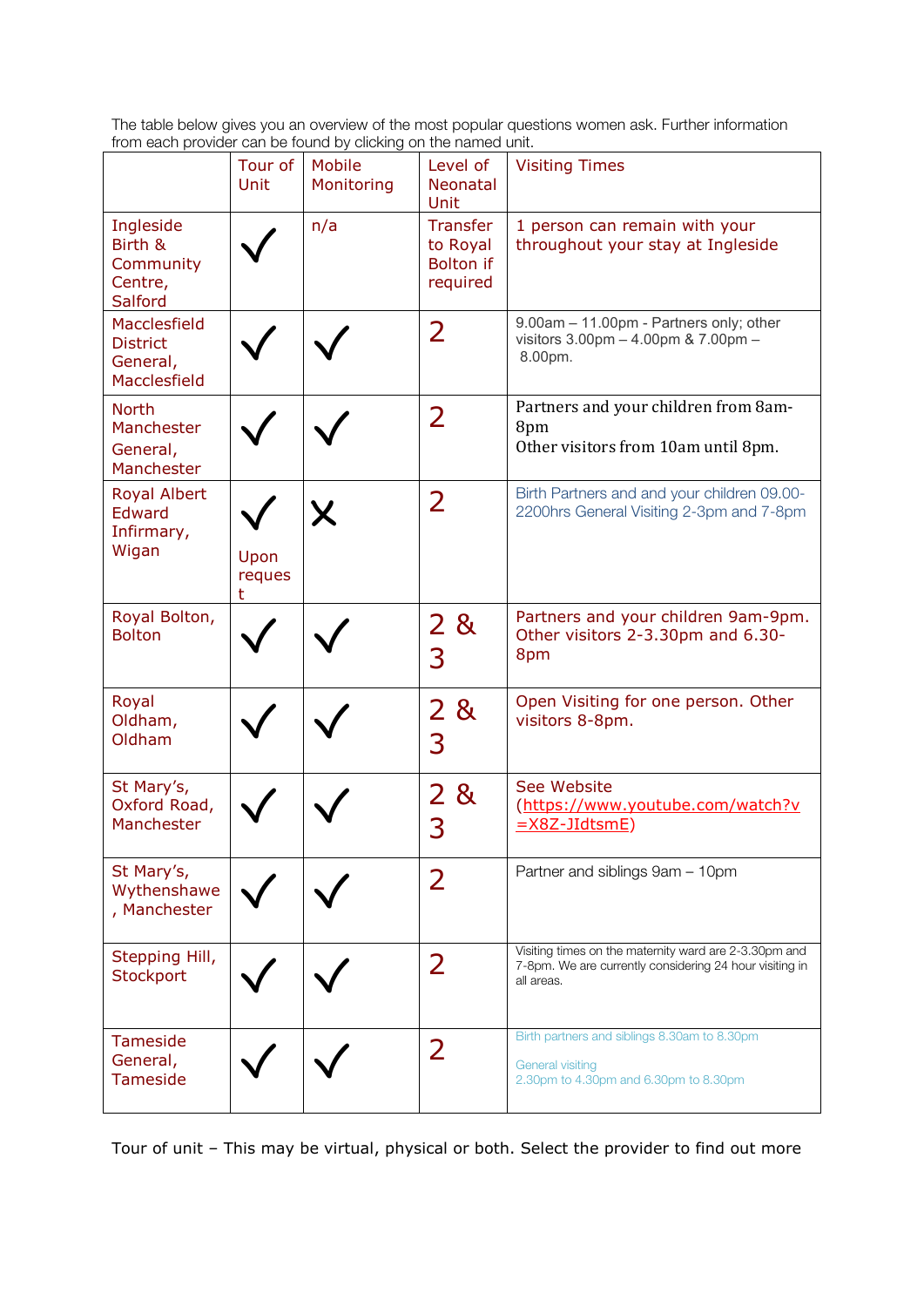The table below gives you an overview of the most popular questions women ask. Further information from each provider can be found by clicking on the named unit.

|                                                             | Tour of<br>Unit     | <u>For cash provider barried round by elemning on the named drift.</u><br>Mobile<br>Monitoring | Level of<br><b>Neonatal</b><br>Unit                         | <b>Visiting Times</b>                                                                                                          |
|-------------------------------------------------------------|---------------------|------------------------------------------------------------------------------------------------|-------------------------------------------------------------|--------------------------------------------------------------------------------------------------------------------------------|
| Ingleside<br>Birth &<br>Community<br>Centre,<br>Salford     |                     | n/a                                                                                            | <b>Transfer</b><br>to Royal<br><b>Bolton</b> if<br>required | 1 person can remain with your<br>throughout your stay at Ingleside                                                             |
| Macclesfield<br><b>District</b><br>General,<br>Macclesfield |                     |                                                                                                | 2                                                           | 9.00am - 11.00pm - Partners only; other<br>visitors 3.00pm - 4.00pm & 7.00pm -<br>8.00pm.                                      |
| <b>North</b><br>Manchester<br>General,<br>Manchester        |                     |                                                                                                | $\overline{2}$                                              | Partners and your children from 8am-<br>8pm<br>Other visitors from 10am until 8pm.                                             |
| Royal Albert<br>Edward<br>Infirmary,<br>Wigan               | Upon<br>reques<br>t |                                                                                                | 2                                                           | Birth Partners and and your children 09.00-<br>2200hrs General Visiting 2-3pm and 7-8pm                                        |
| Royal Bolton,<br><b>Bolton</b>                              |                     |                                                                                                | 2 <sup>1</sup><br>8 <sub>k</sub><br>3                       | Partners and your children 9am-9pm.<br>Other visitors 2-3.30pm and 6.30-<br>8pm                                                |
| Royal<br>Oldham,<br>Oldham                                  |                     |                                                                                                | 2&<br>3                                                     | Open Visiting for one person. Other<br>visitors 8-8pm.                                                                         |
| St Mary's,<br>Oxford Road,<br>Manchester                    |                     |                                                                                                | 2<br>8 <sub>k</sub><br>3                                    | See Website<br>(https://www.youtube.com/watch?v<br>=X8Z-JIdtsmE)                                                               |
| St Mary's,<br>Wythenshawe<br>, Manchester                   |                     |                                                                                                | 2                                                           | Partner and siblings 9am - 10pm                                                                                                |
| Stepping Hill,<br>Stockport                                 |                     |                                                                                                | 2                                                           | Visiting times on the maternity ward are 2-3.30pm and<br>7-8pm. We are currently considering 24 hour visiting in<br>all areas. |
| <b>Tameside</b><br>General,<br><b>Tameside</b>              |                     |                                                                                                | $\overline{2}$                                              | Birth partners and siblings 8.30am to 8.30pm<br><b>General visiting</b><br>2.30pm to 4.30pm and 6.30pm to 8.30pm               |

Tour of unit – This may be virtual, physical or both. Select the provider to find out more